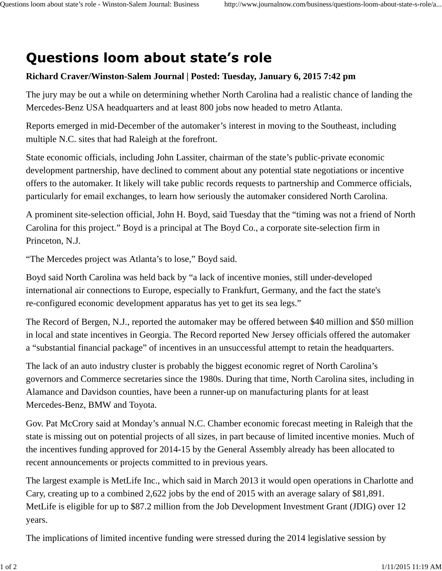## Questions loom about state's role

## **Richard Craver/Winston-Salem Journal | Posted: Tuesday, January 6, 2015 7:42 pm**

The jury may be out a while on determining whether North Carolina had a realistic chance of landing the Mercedes-Benz USA headquarters and at least 800 jobs now headed to metro Atlanta.

Reports emerged in mid-December of the automaker's interest in moving to the Southeast, including multiple N.C. sites that had Raleigh at the forefront.

State economic officials, including John Lassiter, chairman of the state's public-private economic development partnership, have declined to comment about any potential state negotiations or incentive offers to the automaker. It likely will take public records requests to partnership and Commerce officials, particularly for email exchanges, to learn how seriously the automaker considered North Carolina.

A prominent site-selection official, John H. Boyd, said Tuesday that the "timing was not a friend of North Carolina for this project." Boyd is a principal at The Boyd Co., a corporate site-selection firm in Princeton, N.J.

"The Mercedes project was Atlanta's to lose," Boyd said.

Boyd said North Carolina was held back by "a lack of incentive monies, still under-developed international air connections to Europe, especially to Frankfurt, Germany, and the fact the state's re-configured economic development apparatus has yet to get its sea legs."

The Record of Bergen, N.J., reported the automaker may be offered between \$40 million and \$50 million in local and state incentives in Georgia. The Record reported New Jersey officials offered the automaker a "substantial financial package" of incentives in an unsuccessful attempt to retain the headquarters.

The lack of an auto industry cluster is probably the biggest economic regret of North Carolina's governors and Commerce secretaries since the 1980s. During that time, North Carolina sites, including in Alamance and Davidson counties, have been a runner-up on manufacturing plants for at least Mercedes-Benz, BMW and Toyota.

Gov. Pat McCrory said at Monday's annual N.C. Chamber economic forecast meeting in Raleigh that the state is missing out on potential projects of all sizes, in part because of limited incentive monies. Much of the incentives funding approved for 2014-15 by the General Assembly already has been allocated to recent announcements or projects committed to in previous years.

The largest example is MetLife Inc., which said in March 2013 it would open operations in Charlotte and Cary, creating up to a combined 2,622 jobs by the end of 2015 with an average salary of \$81,891. MetLife is eligible for up to \$87.2 million from the Job Development Investment Grant (JDIG) over 12 years.

The implications of limited incentive funding were stressed during the 2014 legislative session by